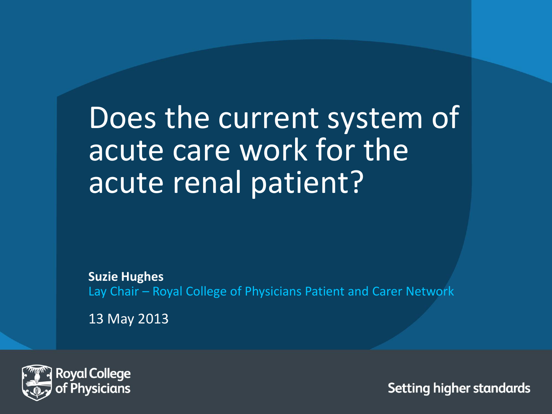## Does the current system of acute care work for the acute renal patient?

**Suzie Hughes** Lay Chair – Royal College of Physicians Patient and Carer Network

13 May 2013

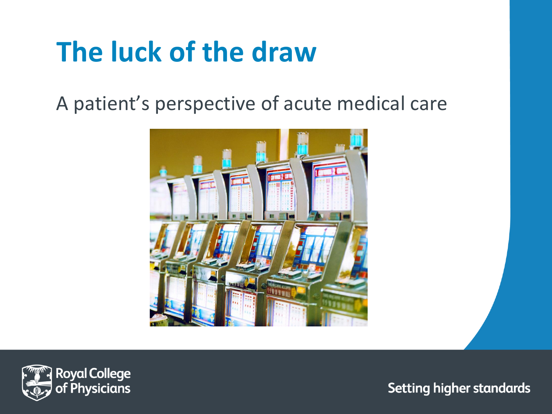## **The luck of the draw**

A patient's perspective of acute medical care



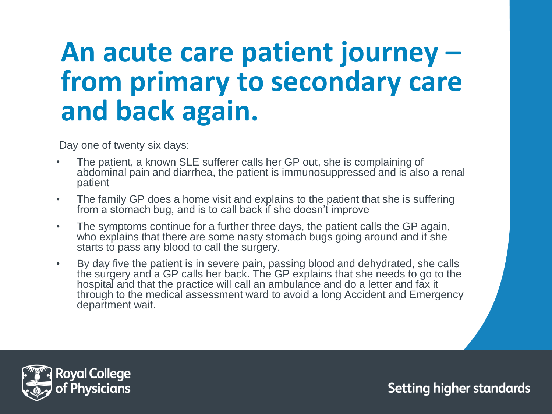#### **An acute care patient journey – from primary to secondary care and back again.**

Day one of twenty six days:

- The patient, a known SLE sufferer calls her GP out, she is complaining of abdominal pain and diarrhea, the patient is immunosuppressed and is also a renal patient
- The family GP does a home visit and explains to the patient that she is suffering from a stomach bug, and is to call back if she doesn't improve
- The symptoms continue for a further three days, the patient calls the GP again, who explains that there are some nasty stomach bugs going around and if she starts to pass any blood to call the surgery.
- By day five the patient is in severe pain, passing blood and dehydrated, she calls the surgery and a GP calls her back. The GP explains that she needs to go to the hospital and that the practice will call an ambulance and do a letter and fax it through to the medical assessment ward to avoid a long Accident and Emergency department wait.

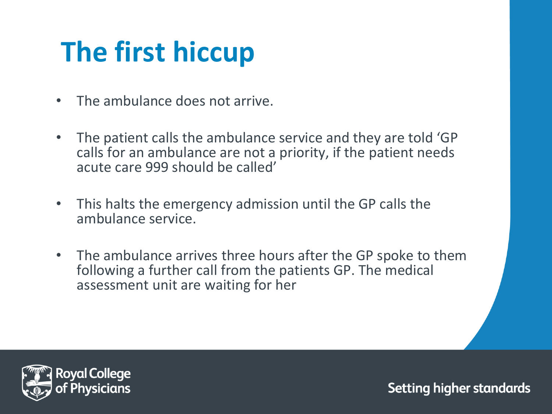# **The first hiccup**

- The ambulance does not arrive.
- The patient calls the ambulance service and they are told 'GP calls for an ambulance are not a priority, if the patient needs acute care 999 should be called'
- This halts the emergency admission until the GP calls the ambulance service.
- The ambulance arrives three hours after the GP spoke to them following a further call from the patients GP. The medical assessment unit are waiting for her

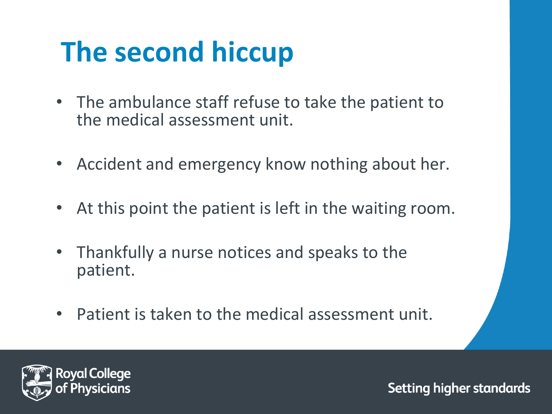# **The second hiccup**

- The ambulance staff refuse to take the patient to the medical assessment unit.
- Accident and emergency know nothing about her.
- At this point the patient is left in the waiting room.
- Thankfully a nurse notices and speaks to the patient.
- Patient is taken to the medical assessment unit.

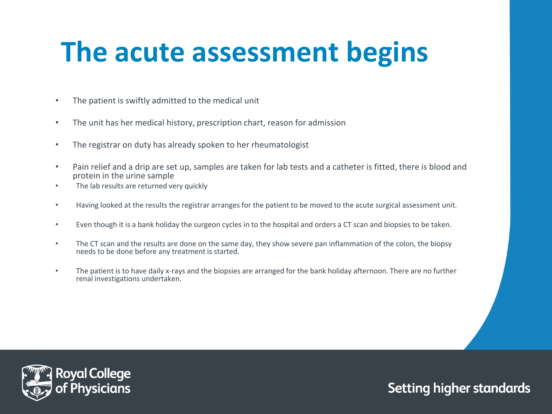## **The acute assessment begins**

- The patient is swiftly admitted to the medical unit
- The unit has her medical history, prescription chart, reason for admission
- The registrar on duty has already spoken to her rheumatologist
- Pain relief and a drip are set up, samples are taken for lab tests and a catheter is fitted, there is blood and protein in the urine sample
- The lab results are returned very quickly
- Having looked at the results the registrar arranges for the patient to be moved to the acute surgical assessment unit.
- Even though it is a bank holiday the surgeon cycles in to the hospital and orders a CT scan and biopsies to be taken.
- The CT scan and the results are done on the same day, they show severe pan inflammation of the colon, the biopsy needs to be done before any treatment is started.
- The patient is to have daily x-rays and the biopsies are arranged for the bank holiday afternoon. There are no further renal investigations undertaken.

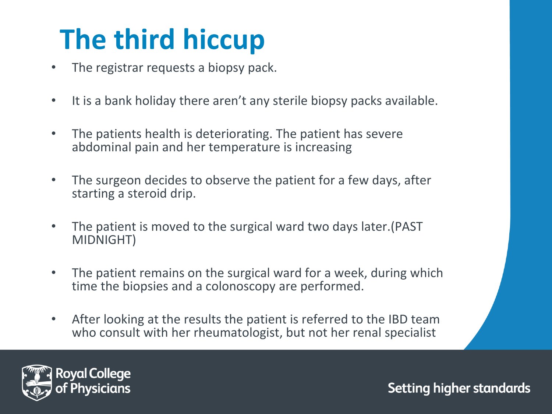# **The third hiccup**

- The registrar requests a biopsy pack.
- It is a bank holiday there aren't any sterile biopsy packs available.
- The patients health is deteriorating. The patient has severe abdominal pain and her temperature is increasing
- The surgeon decides to observe the patient for a few days, after starting a steroid drip.
- The patient is moved to the surgical ward two days later.(PAST MIDNIGHT)
- The patient remains on the surgical ward for a week, during which time the biopsies and a colonoscopy are performed.
- After looking at the results the patient is referred to the IBD team who consult with her rheumatologist, but not her renal specialist

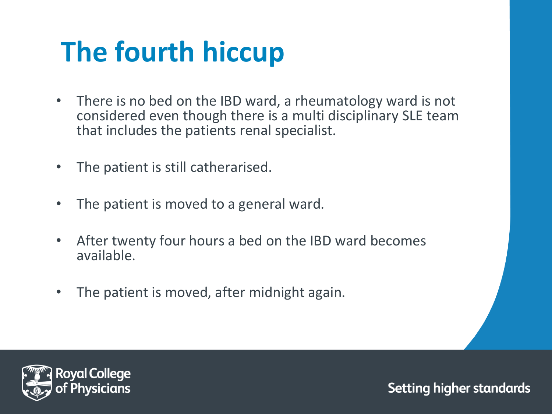# **The fourth hiccup**

- There is no bed on the IBD ward, a rheumatology ward is not considered even though there is a multi disciplinary SLE team that includes the patients renal specialist.
- The patient is still catherarised.
- The patient is moved to a general ward.
- After twenty four hours a bed on the IBD ward becomes available.
- The patient is moved, after midnight again.

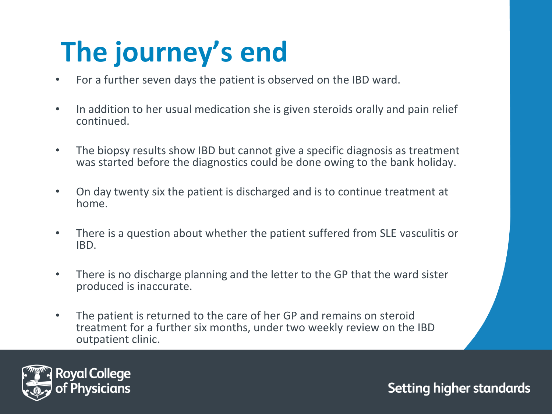# **The journey's end**

- For a further seven days the patient is observed on the IBD ward.
- In addition to her usual medication she is given steroids orally and pain relief continued.
- The biopsy results show IBD but cannot give a specific diagnosis as treatment was started before the diagnostics could be done owing to the bank holiday.
- On day twenty six the patient is discharged and is to continue treatment at home.
- There is a question about whether the patient suffered from SLE vasculitis or IBD.
- There is no discharge planning and the letter to the GP that the ward sister produced is inaccurate.
- The patient is returned to the care of her GP and remains on steroid treatment for a further six months, under two weekly review on the IBD outpatient clinic.

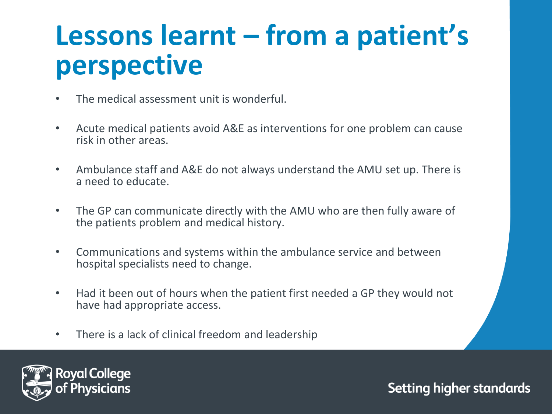### **Lessons learnt – from a patient's perspective**

- The medical assessment unit is wonderful.
- Acute medical patients avoid A&E as interventions for one problem can cause risk in other areas.
- Ambulance staff and A&E do not always understand the AMU set up. There is a need to educate.
- The GP can communicate directly with the AMU who are then fully aware of the patients problem and medical history.
- Communications and systems within the ambulance service and between hospital specialists need to change.
- Had it been out of hours when the patient first needed a GP they would not have had appropriate access.
- There is a lack of clinical freedom and leadership

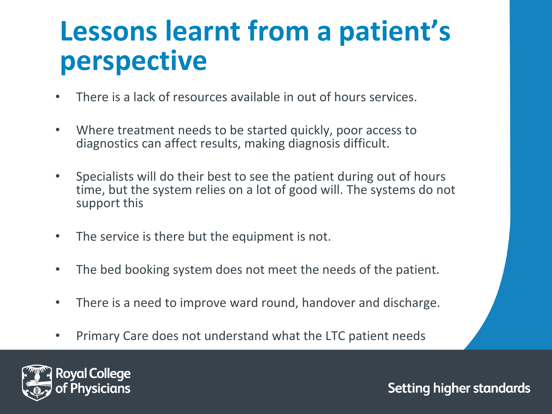### **Lessons learnt from a patient's perspective**

- There is a lack of resources available in out of hours services.
- Where treatment needs to be started quickly, poor access to diagnostics can affect results, making diagnosis difficult.
- Specialists will do their best to see the patient during out of hours time, but the system relies on a lot of good will. The systems do not support this
- The service is there but the equipment is not.
- The bed booking system does not meet the needs of the patient.
- There is a need to improve ward round, handover and discharge.
- Primary Care does not understand what the LTC patient needs

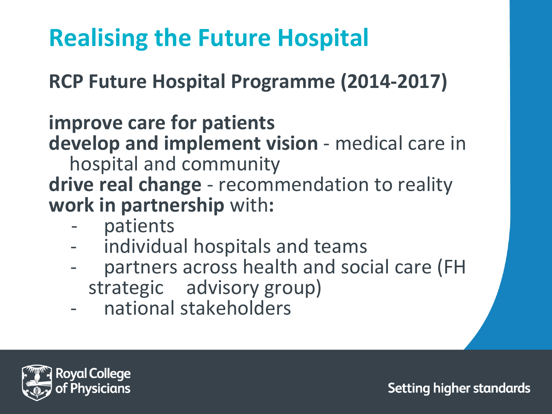#### **Realising the Future Hospital**

**RCP Future Hospital Programme (2014-2017)**

#### **improve care for patients**

**develop and implement vision** - medical care in hospital and community

**drive real change** - recommendation to reality **work in partnership** with**:**

- patients
- individual hospitals and teams
- partners across health and social care (FH strategic advisory group)
- national stakeholders

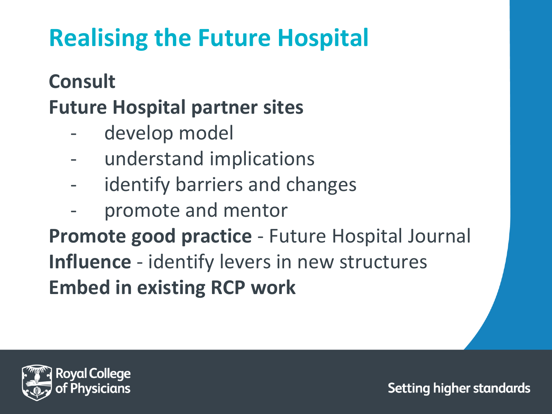#### **Realising the Future Hospital**

#### **Consult**

#### **Future Hospital partner sites**

- develop model
- understand implications
- identify barriers and changes
- promote and mentor

**Promote good practice** - Future Hospital Journal **Influence** - identify levers in new structures **Embed in existing RCP work**

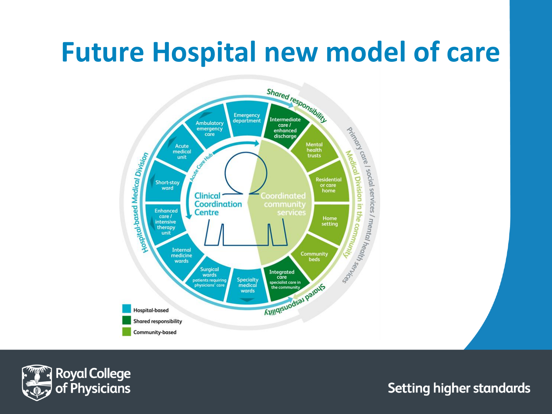### **Future Hospital new model of care**